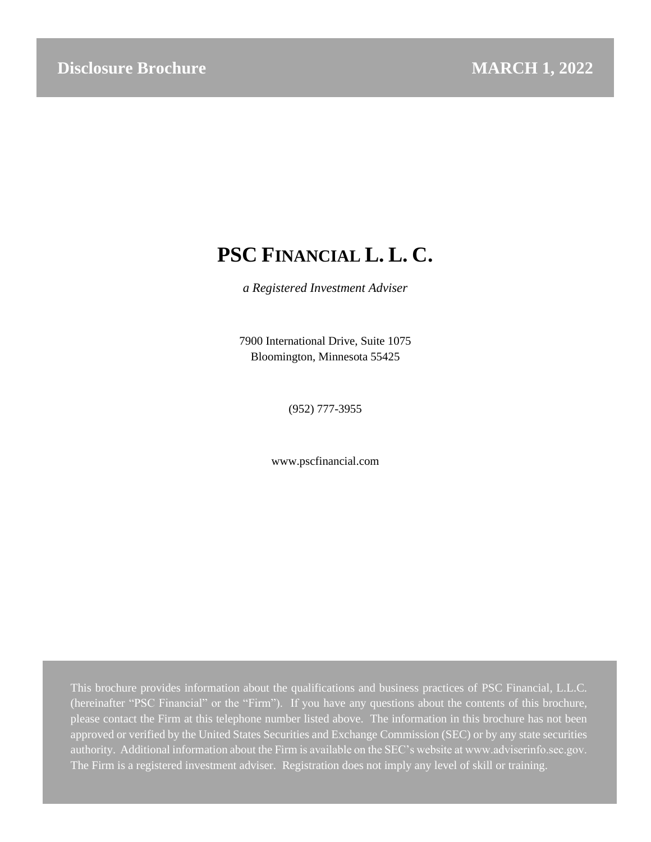# **PSC FINANCIAL L. L. C.**

*a Registered Investment Adviser*

7900 International Drive, Suite 1075 Bloomington, Minnesota 55425

(952) 777-3955

www.pscfinancial.com

This brochure provides information about the qualifications and business practices of PSC Financial, L.L.C. (hereinafter "PSC Financial" or the "Firm"). If you have any questions about the contents of this brochure, please contact the Firm at this telephone number listed above. The information in this brochure has not been approved or verified by the United States Securities and Exchange Commission (SEC) or by any state securities authority. Additional information about the Firm is available on the SEC's website at www.adviserinfo.sec.gov. The Firm is a registered investment adviser. Registration does not imply any level of skill or training.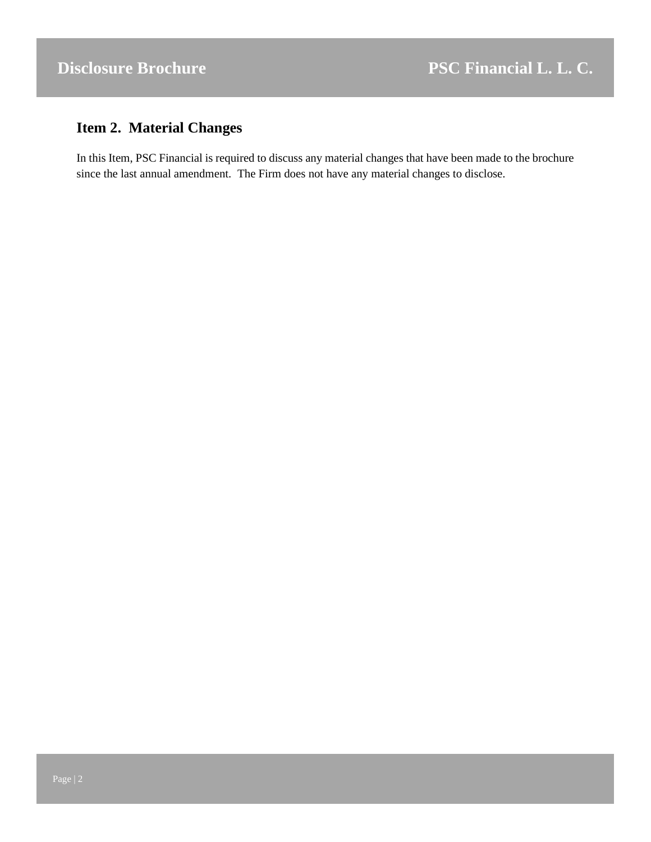# <span id="page-1-0"></span>**Item 2. Material Changes**

In this Item, PSC Financial is required to discuss any material changes that have been made to the brochure since the last annual amendment. The Firm does not have any material changes to disclose.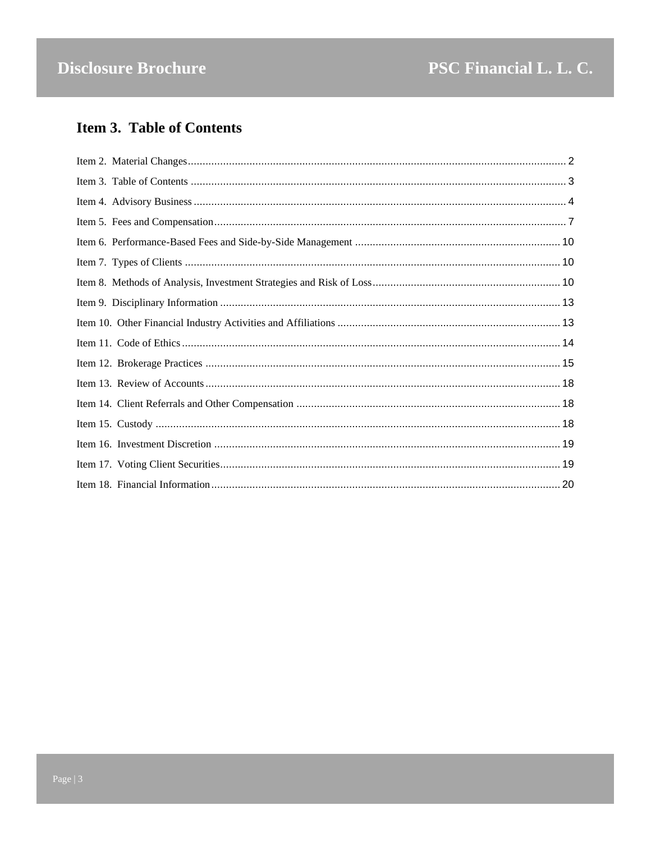# <span id="page-2-0"></span>**Item 3. Table of Contents**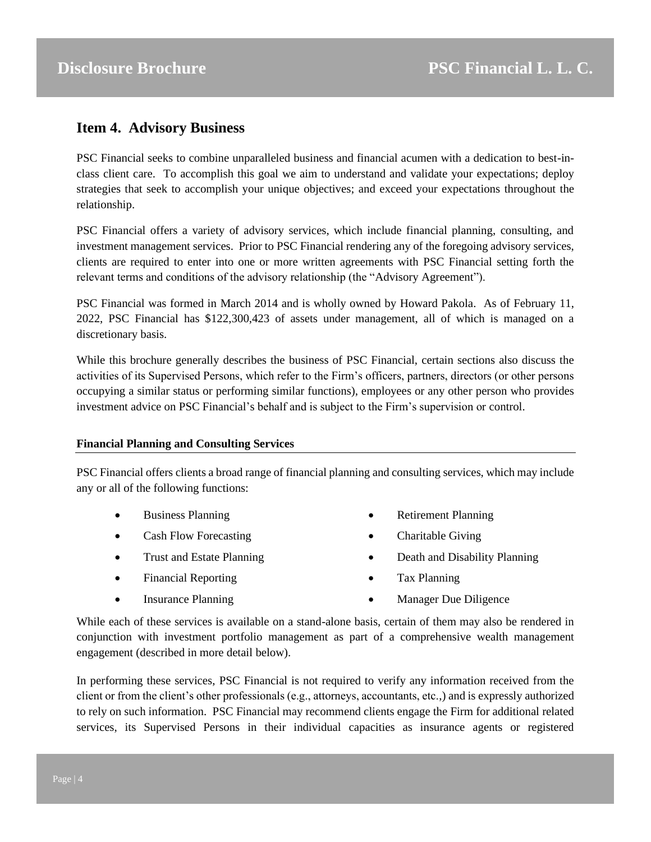# <span id="page-3-0"></span>**Item 4. Advisory Business**

PSC Financial seeks to combine unparalleled business and financial acumen with a dedication to best-inclass client care. To accomplish this goal we aim to understand and validate your expectations; deploy strategies that seek to accomplish your unique objectives; and exceed your expectations throughout the relationship.

PSC Financial offers a variety of advisory services, which include financial planning, consulting, and investment management services. Prior to PSC Financial rendering any of the foregoing advisory services, clients are required to enter into one or more written agreements with PSC Financial setting forth the relevant terms and conditions of the advisory relationship (the "Advisory Agreement").

PSC Financial was formed in March 2014 and is wholly owned by Howard Pakola. As of February 11, 2022, PSC Financial has \$122,300,423 of assets under management, all of which is managed on a discretionary basis.

While this brochure generally describes the business of PSC Financial, certain sections also discuss the activities of its Supervised Persons, which refer to the Firm's officers, partners, directors (or other persons occupying a similar status or performing similar functions), employees or any other person who provides investment advice on PSC Financial's behalf and is subject to the Firm's supervision or control.

# **Financial Planning and Consulting Services**

PSC Financial offers clients a broad range of financial planning and consulting services, which may include any or all of the following functions:

- Business Planning
- Cash Flow Forecasting
- Trust and Estate Planning
- Financial Reporting

• Insurance Planning

- Retirement Planning
- Charitable Giving
- Death and Disability Planning
- Tax Planning
- Manager Due Diligence

While each of these services is available on a stand-alone basis, certain of them may also be rendered in conjunction with investment portfolio management as part of a comprehensive wealth management engagement (described in more detail below).

In performing these services, PSC Financial is not required to verify any information received from the client or from the client's other professionals (e.g., attorneys, accountants, etc.,) and is expressly authorized to rely on such information. PSC Financial may recommend clients engage the Firm for additional related services, its Supervised Persons in their individual capacities as insurance agents or registered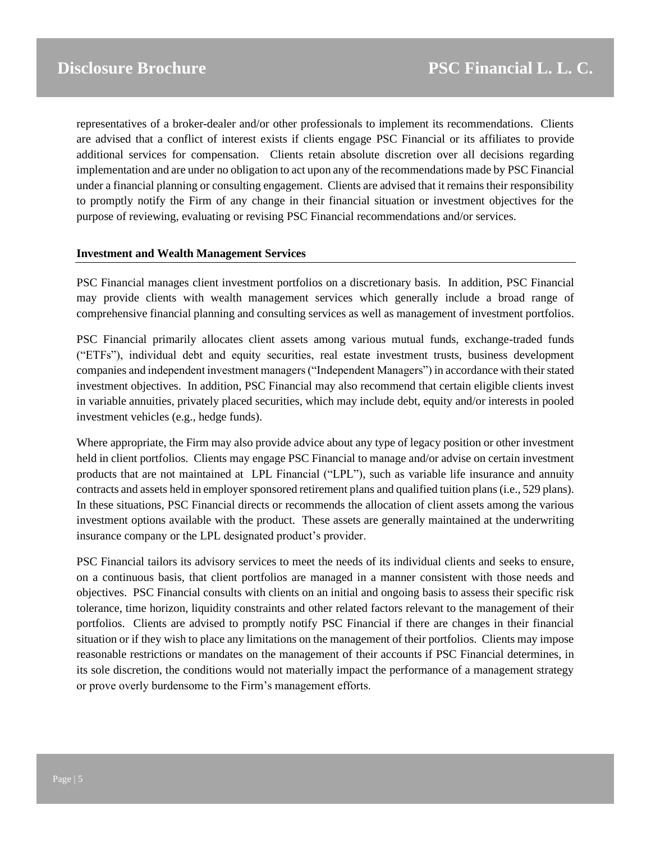representatives of a broker-dealer and/or other professionals to implement its recommendations. Clients are advised that a conflict of interest exists if clients engage PSC Financial or its affiliates to provide additional services for compensation. Clients retain absolute discretion over all decisions regarding implementation and are under no obligation to act upon any of the recommendations made by PSC Financial under a financial planning or consulting engagement. Clients are advised that it remains their responsibility to promptly notify the Firm of any change in their financial situation or investment objectives for the purpose of reviewing, evaluating or revising PSC Financial recommendations and/or services.

#### **Investment and Wealth Management Services**

PSC Financial manages client investment portfolios on a discretionary basis. In addition, PSC Financial may provide clients with wealth management services which generally include a broad range of comprehensive financial planning and consulting services as well as management of investment portfolios.

PSC Financial primarily allocates client assets among various mutual funds, exchange-traded funds ("ETFs"), individual debt and equity securities, real estate investment trusts, business development companies and independent investment managers ("Independent Managers") in accordance with their stated investment objectives. In addition, PSC Financial may also recommend that certain eligible clients invest in variable annuities, privately placed securities, which may include debt, equity and/or interests in pooled investment vehicles (e.g., hedge funds).

Where appropriate, the Firm may also provide advice about any type of legacy position or other investment held in client portfolios. Clients may engage PSC Financial to manage and/or advise on certain investment products that are not maintained at LPL Financial ("LPL"), such as variable life insurance and annuity contracts and assets held in employer sponsored retirement plans and qualified tuition plans (i.e., 529 plans). In these situations, PSC Financial directs or recommends the allocation of client assets among the various investment options available with the product. These assets are generally maintained at the underwriting insurance company or the LPL designated product's provider.

PSC Financial tailors its advisory services to meet the needs of its individual clients and seeks to ensure, on a continuous basis, that client portfolios are managed in a manner consistent with those needs and objectives. PSC Financial consults with clients on an initial and ongoing basis to assess their specific risk tolerance, time horizon, liquidity constraints and other related factors relevant to the management of their portfolios. Clients are advised to promptly notify PSC Financial if there are changes in their financial situation or if they wish to place any limitations on the management of their portfolios. Clients may impose reasonable restrictions or mandates on the management of their accounts if PSC Financial determines, in its sole discretion, the conditions would not materially impact the performance of a management strategy or prove overly burdensome to the Firm's management efforts.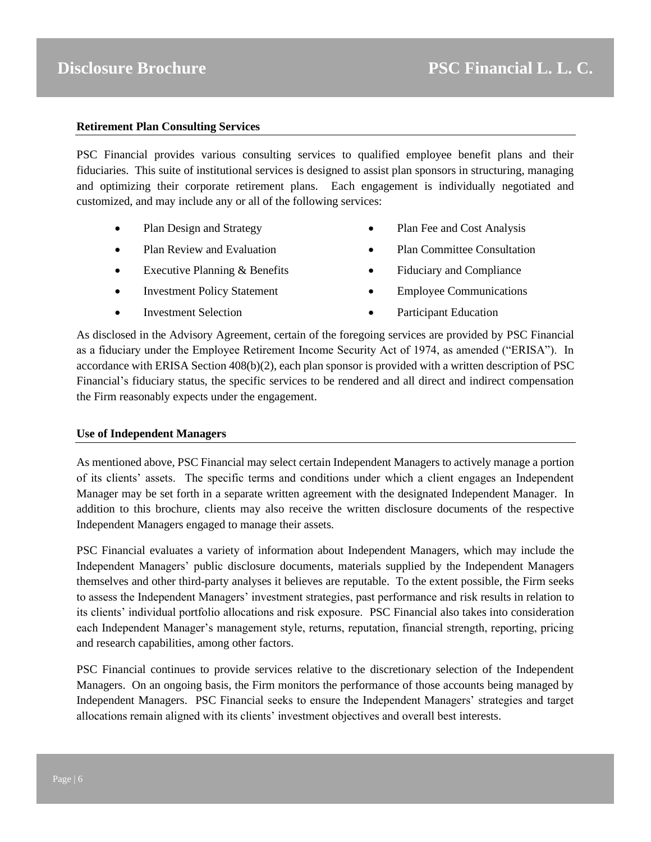# **Retirement Plan Consulting Services**

PSC Financial provides various consulting services to qualified employee benefit plans and their fiduciaries. This suite of institutional services is designed to assist plan sponsors in structuring, managing and optimizing their corporate retirement plans. Each engagement is individually negotiated and customized, and may include any or all of the following services:

- Plan Design and Strategy
- Plan Review and Evaluation
- Executive Planning & Benefits
- Investment Policy Statement
- Investment Selection
- Plan Fee and Cost Analysis
- Plan Committee Consultation
- Fiduciary and Compliance
- Employee Communications
- Participant Education

As disclosed in the Advisory Agreement, certain of the foregoing services are provided by PSC Financial as a fiduciary under the Employee Retirement Income Security Act of 1974, as amended ("ERISA"). In accordance with ERISA Section 408(b)(2), each plan sponsor is provided with a written description of PSC Financial's fiduciary status, the specific services to be rendered and all direct and indirect compensation the Firm reasonably expects under the engagement.

#### **Use of Independent Managers**

As mentioned above, PSC Financial may select certain Independent Managers to actively manage a portion of its clients' assets. The specific terms and conditions under which a client engages an Independent Manager may be set forth in a separate written agreement with the designated Independent Manager. In addition to this brochure, clients may also receive the written disclosure documents of the respective Independent Managers engaged to manage their assets.

PSC Financial evaluates a variety of information about Independent Managers, which may include the Independent Managers' public disclosure documents, materials supplied by the Independent Managers themselves and other third-party analyses it believes are reputable. To the extent possible, the Firm seeks to assess the Independent Managers' investment strategies, past performance and risk results in relation to its clients' individual portfolio allocations and risk exposure. PSC Financial also takes into consideration each Independent Manager's management style, returns, reputation, financial strength, reporting, pricing and research capabilities, among other factors.

PSC Financial continues to provide services relative to the discretionary selection of the Independent Managers. On an ongoing basis, the Firm monitors the performance of those accounts being managed by Independent Managers. PSC Financial seeks to ensure the Independent Managers' strategies and target allocations remain aligned with its clients' investment objectives and overall best interests.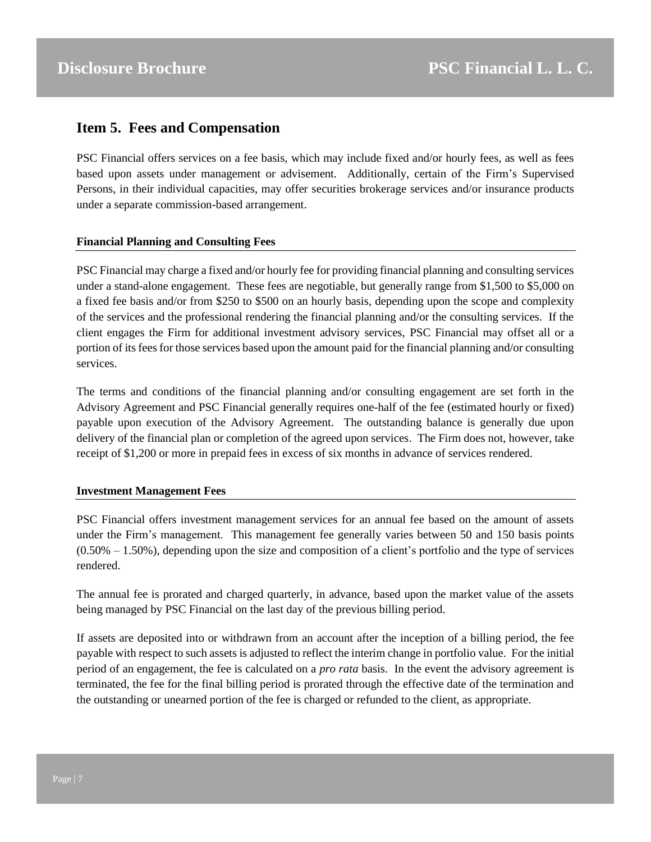# <span id="page-6-0"></span>**Item 5. Fees and Compensation**

PSC Financial offers services on a fee basis, which may include fixed and/or hourly fees, as well as fees based upon assets under management or advisement. Additionally, certain of the Firm's Supervised Persons, in their individual capacities, may offer securities brokerage services and/or insurance products under a separate commission-based arrangement.

# **Financial Planning and Consulting Fees**

PSC Financial may charge a fixed and/or hourly fee for providing financial planning and consulting services under a stand-alone engagement. These fees are negotiable, but generally range from \$1,500 to \$5,000 on a fixed fee basis and/or from \$250 to \$500 on an hourly basis, depending upon the scope and complexity of the services and the professional rendering the financial planning and/or the consulting services. If the client engages the Firm for additional investment advisory services, PSC Financial may offset all or a portion of its fees for those services based upon the amount paid for the financial planning and/or consulting services.

The terms and conditions of the financial planning and/or consulting engagement are set forth in the Advisory Agreement and PSC Financial generally requires one-half of the fee (estimated hourly or fixed) payable upon execution of the Advisory Agreement. The outstanding balance is generally due upon delivery of the financial plan or completion of the agreed upon services. The Firm does not, however, take receipt of \$1,200 or more in prepaid fees in excess of six months in advance of services rendered.

# **Investment Management Fees**

PSC Financial offers investment management services for an annual fee based on the amount of assets under the Firm's management. This management fee generally varies between 50 and 150 basis points  $(0.50\% - 1.50\%)$ , depending upon the size and composition of a client's portfolio and the type of services rendered.

The annual fee is prorated and charged quarterly, in advance, based upon the market value of the assets being managed by PSC Financial on the last day of the previous billing period.

If assets are deposited into or withdrawn from an account after the inception of a billing period, the fee payable with respect to such assets is adjusted to reflect the interim change in portfolio value. For the initial period of an engagement, the fee is calculated on a *pro rata* basis. In the event the advisory agreement is terminated, the fee for the final billing period is prorated through the effective date of the termination and the outstanding or unearned portion of the fee is charged or refunded to the client, as appropriate.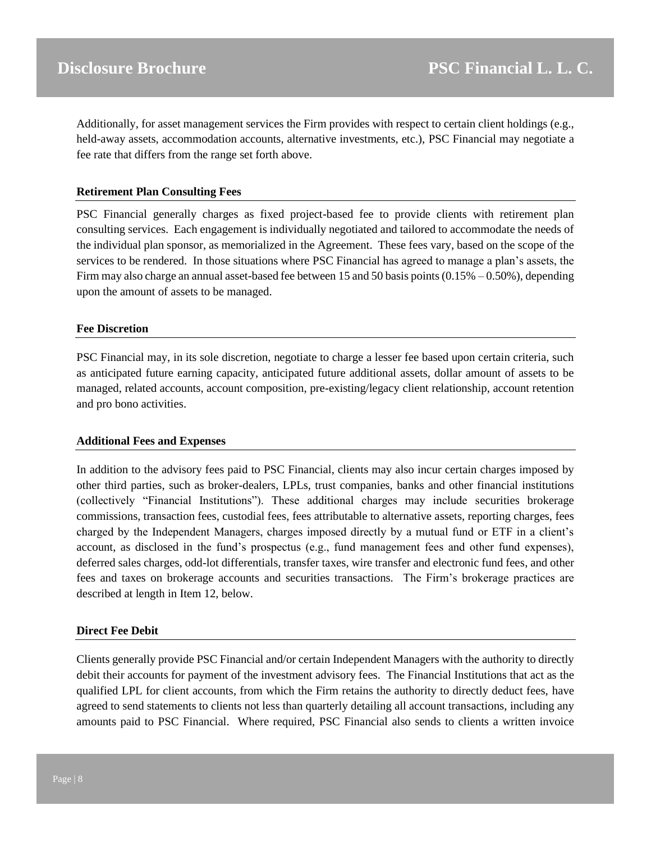Additionally, for asset management services the Firm provides with respect to certain client holdings (e.g., held-away assets, accommodation accounts, alternative investments, etc.), PSC Financial may negotiate a fee rate that differs from the range set forth above.

#### **Retirement Plan Consulting Fees**

PSC Financial generally charges as fixed project-based fee to provide clients with retirement plan consulting services. Each engagement is individually negotiated and tailored to accommodate the needs of the individual plan sponsor, as memorialized in the Agreement. These fees vary, based on the scope of the services to be rendered. In those situations where PSC Financial has agreed to manage a plan's assets, the Firm may also charge an annual asset-based fee between 15 and 50 basis points  $(0.15\% - 0.50\%)$ , depending upon the amount of assets to be managed.

#### **Fee Discretion**

PSC Financial may, in its sole discretion, negotiate to charge a lesser fee based upon certain criteria, such as anticipated future earning capacity, anticipated future additional assets, dollar amount of assets to be managed, related accounts, account composition, pre-existing/legacy client relationship, account retention and pro bono activities.

#### **Additional Fees and Expenses**

In addition to the advisory fees paid to PSC Financial, clients may also incur certain charges imposed by other third parties, such as broker-dealers, LPLs, trust companies, banks and other financial institutions (collectively "Financial Institutions"). These additional charges may include securities brokerage commissions, transaction fees, custodial fees, fees attributable to alternative assets, reporting charges, fees charged by the Independent Managers, charges imposed directly by a mutual fund or ETF in a client's account, as disclosed in the fund's prospectus (e.g., fund management fees and other fund expenses), deferred sales charges, odd-lot differentials, transfer taxes, wire transfer and electronic fund fees, and other fees and taxes on brokerage accounts and securities transactions. The Firm's brokerage practices are described at length in Item 12, below.

#### **Direct Fee Debit**

Clients generally provide PSC Financial and/or certain Independent Managers with the authority to directly debit their accounts for payment of the investment advisory fees. The Financial Institutions that act as the qualified LPL for client accounts, from which the Firm retains the authority to directly deduct fees, have agreed to send statements to clients not less than quarterly detailing all account transactions, including any amounts paid to PSC Financial. Where required, PSC Financial also sends to clients a written invoice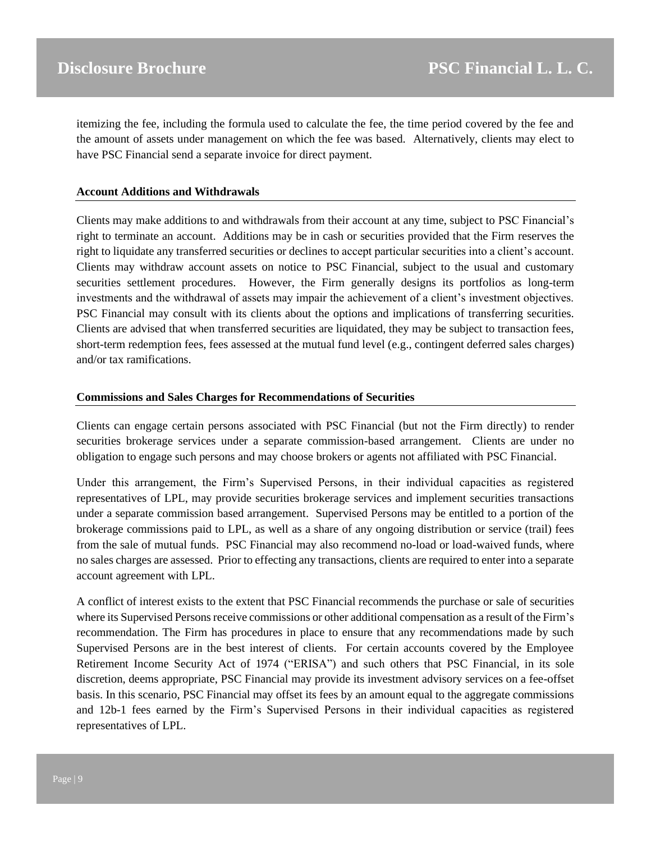itemizing the fee, including the formula used to calculate the fee, the time period covered by the fee and the amount of assets under management on which the fee was based. Alternatively, clients may elect to have PSC Financial send a separate invoice for direct payment.

#### **Account Additions and Withdrawals**

Clients may make additions to and withdrawals from their account at any time, subject to PSC Financial's right to terminate an account. Additions may be in cash or securities provided that the Firm reserves the right to liquidate any transferred securities or declines to accept particular securities into a client's account. Clients may withdraw account assets on notice to PSC Financial, subject to the usual and customary securities settlement procedures. However, the Firm generally designs its portfolios as long-term investments and the withdrawal of assets may impair the achievement of a client's investment objectives. PSC Financial may consult with its clients about the options and implications of transferring securities. Clients are advised that when transferred securities are liquidated, they may be subject to transaction fees, short-term redemption fees, fees assessed at the mutual fund level (e.g., contingent deferred sales charges) and/or tax ramifications.

#### **Commissions and Sales Charges for Recommendations of Securities**

Clients can engage certain persons associated with PSC Financial (but not the Firm directly) to render securities brokerage services under a separate commission-based arrangement. Clients are under no obligation to engage such persons and may choose brokers or agents not affiliated with PSC Financial.

Under this arrangement, the Firm's Supervised Persons, in their individual capacities as registered representatives of LPL, may provide securities brokerage services and implement securities transactions under a separate commission based arrangement. Supervised Persons may be entitled to a portion of the brokerage commissions paid to LPL, as well as a share of any ongoing distribution or service (trail) fees from the sale of mutual funds. PSC Financial may also recommend no-load or load-waived funds, where no sales charges are assessed. Prior to effecting any transactions, clients are required to enter into a separate account agreement with LPL.

A conflict of interest exists to the extent that PSC Financial recommends the purchase or sale of securities where its Supervised Persons receive commissions or other additional compensation as a result of the Firm's recommendation. The Firm has procedures in place to ensure that any recommendations made by such Supervised Persons are in the best interest of clients. For certain accounts covered by the Employee Retirement Income Security Act of 1974 ("ERISA") and such others that PSC Financial, in its sole discretion, deems appropriate, PSC Financial may provide its investment advisory services on a fee-offset basis. In this scenario, PSC Financial may offset its fees by an amount equal to the aggregate commissions and 12b-1 fees earned by the Firm's Supervised Persons in their individual capacities as registered representatives of LPL.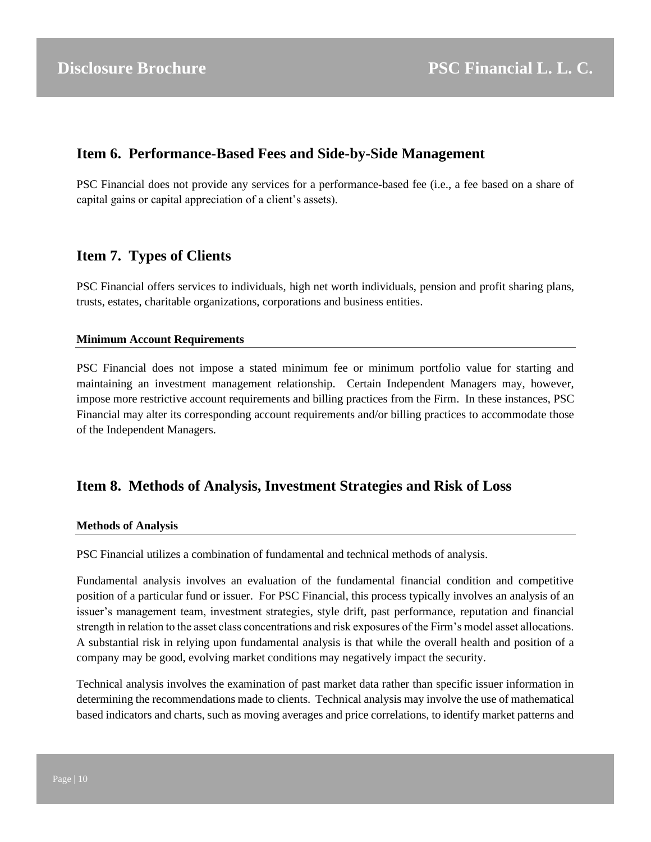# <span id="page-9-0"></span>**Item 6. Performance-Based Fees and Side-by-Side Management**

PSC Financial does not provide any services for a performance-based fee (i.e., a fee based on a share of capital gains or capital appreciation of a client's assets).

# <span id="page-9-1"></span>**Item 7. Types of Clients**

PSC Financial offers services to individuals, high net worth individuals, pension and profit sharing plans, trusts, estates, charitable organizations, corporations and business entities.

# **Minimum Account Requirements**

PSC Financial does not impose a stated minimum fee or minimum portfolio value for starting and maintaining an investment management relationship. Certain Independent Managers may, however, impose more restrictive account requirements and billing practices from the Firm. In these instances, PSC Financial may alter its corresponding account requirements and/or billing practices to accommodate those of the Independent Managers.

# <span id="page-9-2"></span>**Item 8. Methods of Analysis, Investment Strategies and Risk of Loss**

# **Methods of Analysis**

PSC Financial utilizes a combination of fundamental and technical methods of analysis.

Fundamental analysis involves an evaluation of the fundamental financial condition and competitive position of a particular fund or issuer. For PSC Financial, this process typically involves an analysis of an issuer's management team, investment strategies, style drift, past performance, reputation and financial strength in relation to the asset class concentrations and risk exposures of the Firm's model asset allocations. A substantial risk in relying upon fundamental analysis is that while the overall health and position of a company may be good, evolving market conditions may negatively impact the security.

Technical analysis involves the examination of past market data rather than specific issuer information in determining the recommendations made to clients. Technical analysis may involve the use of mathematical based indicators and charts, such as moving averages and price correlations, to identify market patterns and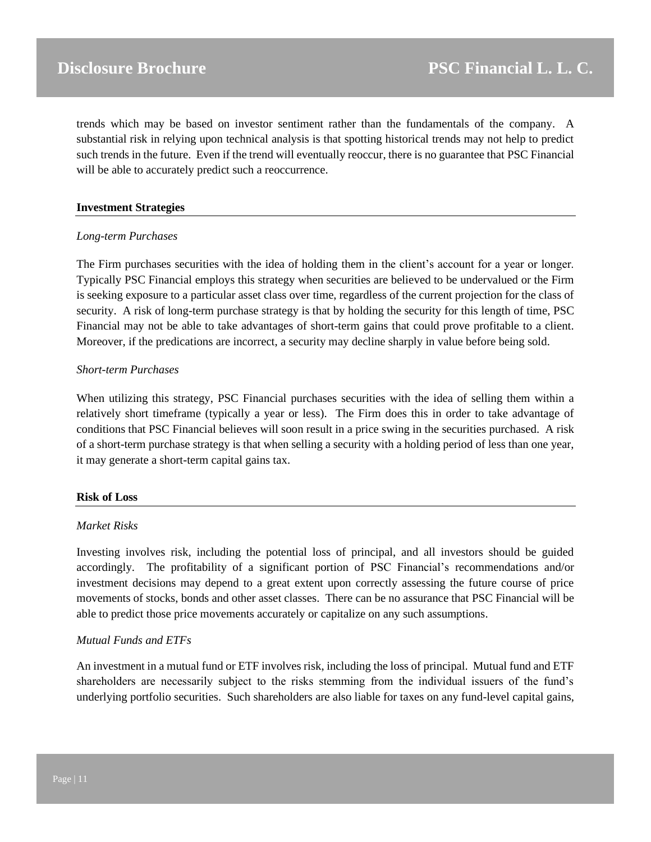trends which may be based on investor sentiment rather than the fundamentals of the company. A substantial risk in relying upon technical analysis is that spotting historical trends may not help to predict such trends in the future. Even if the trend will eventually reoccur, there is no guarantee that PSC Financial will be able to accurately predict such a reoccurrence.

### **Investment Strategies**

#### *Long-term Purchases*

The Firm purchases securities with the idea of holding them in the client's account for a year or longer. Typically PSC Financial employs this strategy when securities are believed to be undervalued or the Firm is seeking exposure to a particular asset class over time, regardless of the current projection for the class of security. A risk of long-term purchase strategy is that by holding the security for this length of time, PSC Financial may not be able to take advantages of short-term gains that could prove profitable to a client. Moreover, if the predications are incorrect, a security may decline sharply in value before being sold.

#### *Short-term Purchases*

When utilizing this strategy, PSC Financial purchases securities with the idea of selling them within a relatively short timeframe (typically a year or less). The Firm does this in order to take advantage of conditions that PSC Financial believes will soon result in a price swing in the securities purchased. A risk of a short-term purchase strategy is that when selling a security with a holding period of less than one year, it may generate a short-term capital gains tax.

# **Risk of Loss**

# *Market Risks*

Investing involves risk, including the potential loss of principal, and all investors should be guided accordingly. The profitability of a significant portion of PSC Financial's recommendations and/or investment decisions may depend to a great extent upon correctly assessing the future course of price movements of stocks, bonds and other asset classes. There can be no assurance that PSC Financial will be able to predict those price movements accurately or capitalize on any such assumptions.

# *Mutual Funds and ETFs*

An investment in a mutual fund or ETF involves risk, including the loss of principal. Mutual fund and ETF shareholders are necessarily subject to the risks stemming from the individual issuers of the fund's underlying portfolio securities. Such shareholders are also liable for taxes on any fund-level capital gains,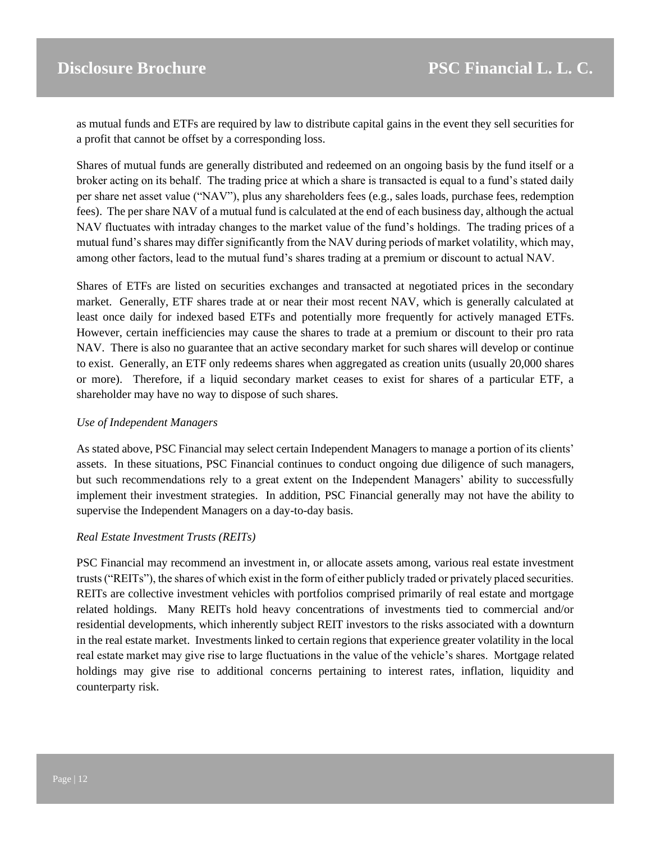as mutual funds and ETFs are required by law to distribute capital gains in the event they sell securities for a profit that cannot be offset by a corresponding loss.

Shares of mutual funds are generally distributed and redeemed on an ongoing basis by the fund itself or a broker acting on its behalf. The trading price at which a share is transacted is equal to a fund's stated daily per share net asset value ("NAV"), plus any shareholders fees (e.g., sales loads, purchase fees, redemption fees). The per share NAV of a mutual fund is calculated at the end of each business day, although the actual NAV fluctuates with intraday changes to the market value of the fund's holdings. The trading prices of a mutual fund's shares may differ significantly from the NAV during periods of market volatility, which may, among other factors, lead to the mutual fund's shares trading at a premium or discount to actual NAV.

Shares of ETFs are listed on securities exchanges and transacted at negotiated prices in the secondary market. Generally, ETF shares trade at or near their most recent NAV, which is generally calculated at least once daily for indexed based ETFs and potentially more frequently for actively managed ETFs. However, certain inefficiencies may cause the shares to trade at a premium or discount to their pro rata NAV. There is also no guarantee that an active secondary market for such shares will develop or continue to exist. Generally, an ETF only redeems shares when aggregated as creation units (usually 20,000 shares or more). Therefore, if a liquid secondary market ceases to exist for shares of a particular ETF, a shareholder may have no way to dispose of such shares.

## *Use of Independent Managers*

As stated above, PSC Financial may select certain Independent Managers to manage a portion of its clients' assets. In these situations, PSC Financial continues to conduct ongoing due diligence of such managers, but such recommendations rely to a great extent on the Independent Managers' ability to successfully implement their investment strategies. In addition, PSC Financial generally may not have the ability to supervise the Independent Managers on a day-to-day basis.

#### *Real Estate Investment Trusts (REITs)*

PSC Financial may recommend an investment in, or allocate assets among, various real estate investment trusts ("REITs"), the shares of which exist in the form of either publicly traded or privately placed securities. REITs are collective investment vehicles with portfolios comprised primarily of real estate and mortgage related holdings. Many REITs hold heavy concentrations of investments tied to commercial and/or residential developments, which inherently subject REIT investors to the risks associated with a downturn in the real estate market. Investments linked to certain regions that experience greater volatility in the local real estate market may give rise to large fluctuations in the value of the vehicle's shares. Mortgage related holdings may give rise to additional concerns pertaining to interest rates, inflation, liquidity and counterparty risk.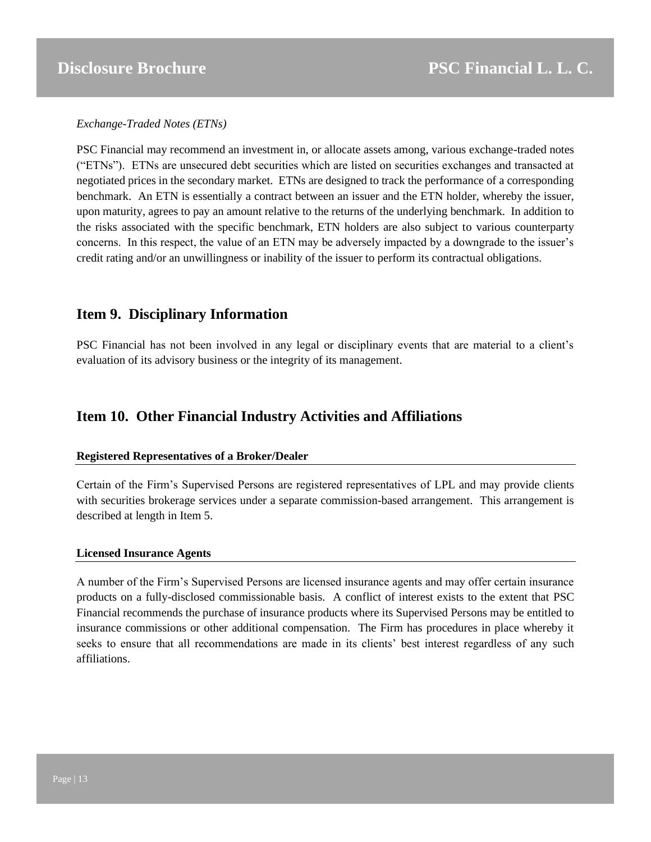*Exchange-Traded Notes (ETNs)*

PSC Financial may recommend an investment in, or allocate assets among, various exchange-traded notes ("ETNs"). ETNs are unsecured debt securities which are listed on securities exchanges and transacted at negotiated prices in the secondary market. ETNs are designed to track the performance of a corresponding benchmark. An ETN is essentially a contract between an issuer and the ETN holder, whereby the issuer, upon maturity, agrees to pay an amount relative to the returns of the underlying benchmark. In addition to the risks associated with the specific benchmark, ETN holders are also subject to various counterparty concerns. In this respect, the value of an ETN may be adversely impacted by a downgrade to the issuer's credit rating and/or an unwillingness or inability of the issuer to perform its contractual obligations.

# <span id="page-12-0"></span>**Item 9. Disciplinary Information**

PSC Financial has not been involved in any legal or disciplinary events that are material to a client's evaluation of its advisory business or the integrity of its management.

# <span id="page-12-1"></span>**Item 10. Other Financial Industry Activities and Affiliations**

# **Registered Representatives of a Broker/Dealer**

Certain of the Firm's Supervised Persons are registered representatives of LPL and may provide clients with securities brokerage services under a separate commission-based arrangement. This arrangement is described at length in Item 5.

# **Licensed Insurance Agents**

A number of the Firm's Supervised Persons are licensed insurance agents and may offer certain insurance products on a fully-disclosed commissionable basis. A conflict of interest exists to the extent that PSC Financial recommends the purchase of insurance products where its Supervised Persons may be entitled to insurance commissions or other additional compensation. The Firm has procedures in place whereby it seeks to ensure that all recommendations are made in its clients' best interest regardless of any such affiliations.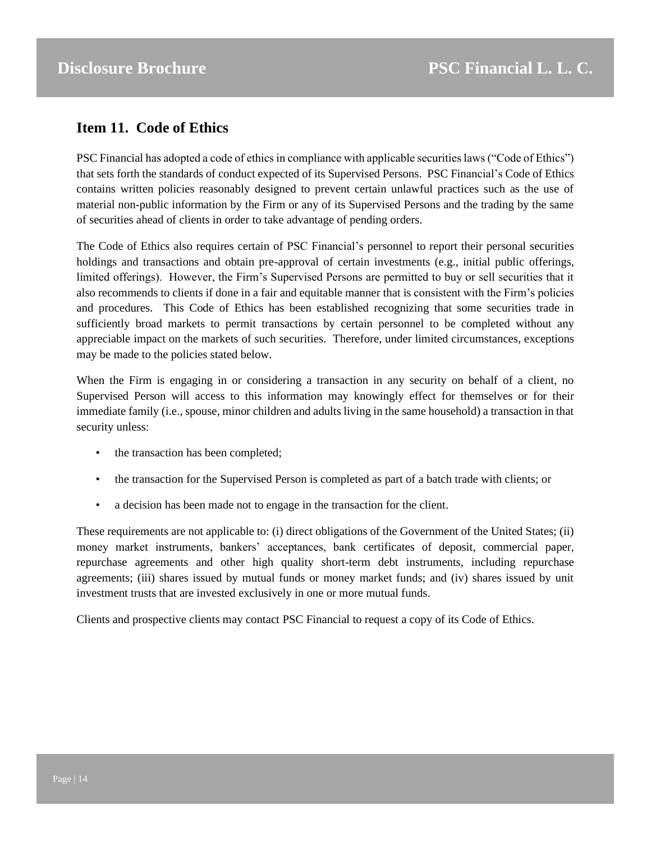# <span id="page-13-0"></span>**Item 11. Code of Ethics**

PSC Financial has adopted a code of ethics in compliance with applicable securities laws ("Code of Ethics") that sets forth the standards of conduct expected of its Supervised Persons. PSC Financial's Code of Ethics contains written policies reasonably designed to prevent certain unlawful practices such as the use of material non-public information by the Firm or any of its Supervised Persons and the trading by the same of securities ahead of clients in order to take advantage of pending orders.

The Code of Ethics also requires certain of PSC Financial's personnel to report their personal securities holdings and transactions and obtain pre-approval of certain investments (e.g., initial public offerings, limited offerings). However, the Firm's Supervised Persons are permitted to buy or sell securities that it also recommends to clients if done in a fair and equitable manner that is consistent with the Firm's policies and procedures. This Code of Ethics has been established recognizing that some securities trade in sufficiently broad markets to permit transactions by certain personnel to be completed without any appreciable impact on the markets of such securities. Therefore, under limited circumstances, exceptions may be made to the policies stated below.

When the Firm is engaging in or considering a transaction in any security on behalf of a client, no Supervised Person will access to this information may knowingly effect for themselves or for their immediate family (i.e., spouse, minor children and adults living in the same household) a transaction in that security unless:

- the transaction has been completed;
- the transaction for the Supervised Person is completed as part of a batch trade with clients; or
- a decision has been made not to engage in the transaction for the client.

These requirements are not applicable to: (i) direct obligations of the Government of the United States; (ii) money market instruments, bankers' acceptances, bank certificates of deposit, commercial paper, repurchase agreements and other high quality short-term debt instruments, including repurchase agreements; (iii) shares issued by mutual funds or money market funds; and (iv) shares issued by unit investment trusts that are invested exclusively in one or more mutual funds.

Clients and prospective clients may contact PSC Financial to request a copy of its Code of Ethics.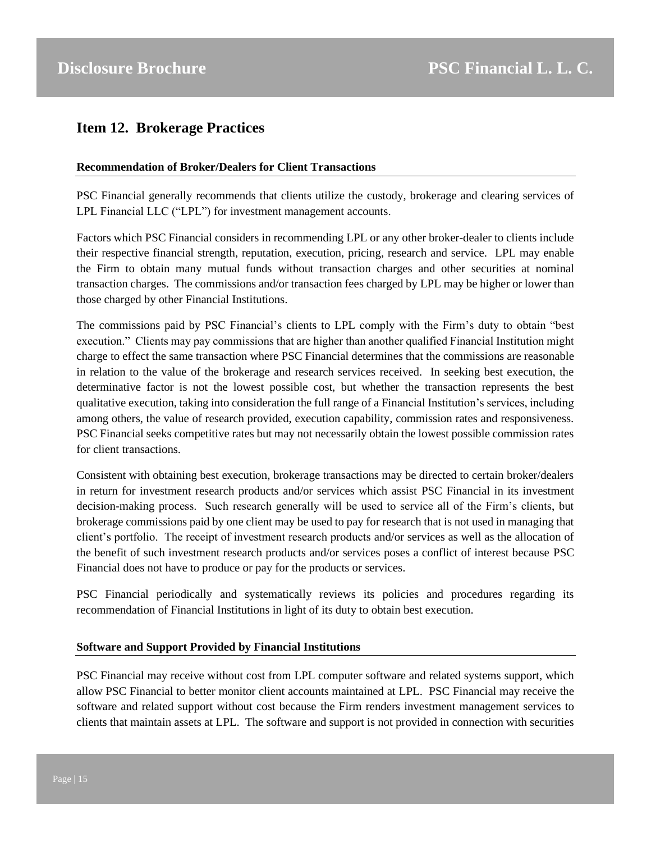# <span id="page-14-0"></span>**Item 12. Brokerage Practices**

## **Recommendation of Broker/Dealers for Client Transactions**

PSC Financial generally recommends that clients utilize the custody, brokerage and clearing services of LPL Financial LLC ("LPL") for investment management accounts.

Factors which PSC Financial considers in recommending LPL or any other broker-dealer to clients include their respective financial strength, reputation, execution, pricing, research and service. LPL may enable the Firm to obtain many mutual funds without transaction charges and other securities at nominal transaction charges. The commissions and/or transaction fees charged by LPL may be higher or lower than those charged by other Financial Institutions.

The commissions paid by PSC Financial's clients to LPL comply with the Firm's duty to obtain "best execution." Clients may pay commissions that are higher than another qualified Financial Institution might charge to effect the same transaction where PSC Financial determines that the commissions are reasonable in relation to the value of the brokerage and research services received. In seeking best execution, the determinative factor is not the lowest possible cost, but whether the transaction represents the best qualitative execution, taking into consideration the full range of a Financial Institution's services, including among others, the value of research provided, execution capability, commission rates and responsiveness. PSC Financial seeks competitive rates but may not necessarily obtain the lowest possible commission rates for client transactions.

Consistent with obtaining best execution, brokerage transactions may be directed to certain broker/dealers in return for investment research products and/or services which assist PSC Financial in its investment decision-making process. Such research generally will be used to service all of the Firm's clients, but brokerage commissions paid by one client may be used to pay for research that is not used in managing that client's portfolio. The receipt of investment research products and/or services as well as the allocation of the benefit of such investment research products and/or services poses a conflict of interest because PSC Financial does not have to produce or pay for the products or services.

PSC Financial periodically and systematically reviews its policies and procedures regarding its recommendation of Financial Institutions in light of its duty to obtain best execution.

# **Software and Support Provided by Financial Institutions**

PSC Financial may receive without cost from LPL computer software and related systems support, which allow PSC Financial to better monitor client accounts maintained at LPL. PSC Financial may receive the software and related support without cost because the Firm renders investment management services to clients that maintain assets at LPL. The software and support is not provided in connection with securities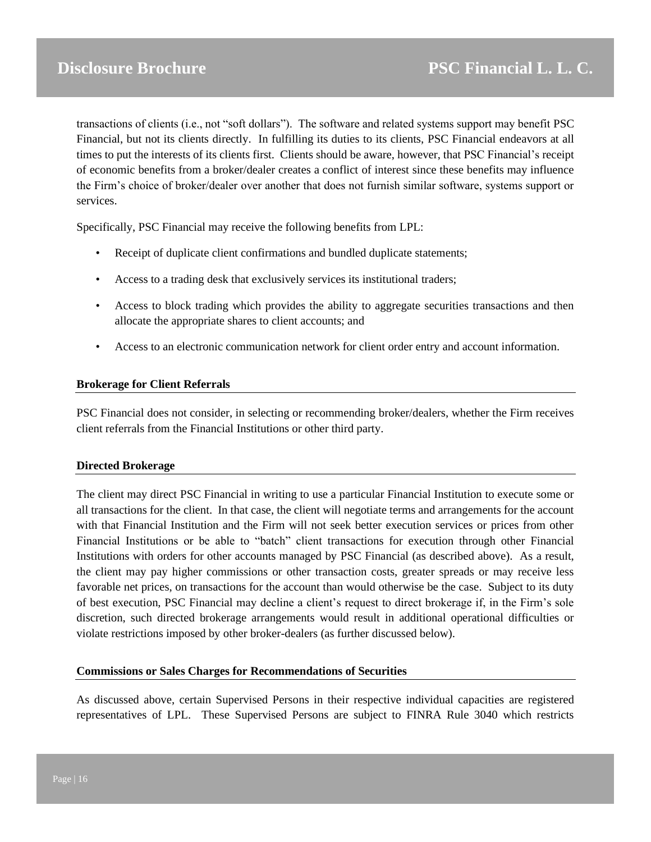transactions of clients (i.e., not "soft dollars"). The software and related systems support may benefit PSC Financial, but not its clients directly. In fulfilling its duties to its clients, PSC Financial endeavors at all times to put the interests of its clients first. Clients should be aware, however, that PSC Financial's receipt of economic benefits from a broker/dealer creates a conflict of interest since these benefits may influence the Firm's choice of broker/dealer over another that does not furnish similar software, systems support or services.

Specifically, PSC Financial may receive the following benefits from LPL:

- Receipt of duplicate client confirmations and bundled duplicate statements;
- Access to a trading desk that exclusively services its institutional traders;
- Access to block trading which provides the ability to aggregate securities transactions and then allocate the appropriate shares to client accounts; and
- Access to an electronic communication network for client order entry and account information.

# **Brokerage for Client Referrals**

PSC Financial does not consider, in selecting or recommending broker/dealers, whether the Firm receives client referrals from the Financial Institutions or other third party.

#### **Directed Brokerage**

The client may direct PSC Financial in writing to use a particular Financial Institution to execute some or all transactions for the client. In that case, the client will negotiate terms and arrangements for the account with that Financial Institution and the Firm will not seek better execution services or prices from other Financial Institutions or be able to "batch" client transactions for execution through other Financial Institutions with orders for other accounts managed by PSC Financial (as described above). As a result, the client may pay higher commissions or other transaction costs, greater spreads or may receive less favorable net prices, on transactions for the account than would otherwise be the case. Subject to its duty of best execution, PSC Financial may decline a client's request to direct brokerage if, in the Firm's sole discretion, such directed brokerage arrangements would result in additional operational difficulties or violate restrictions imposed by other broker-dealers (as further discussed below).

#### **Commissions or Sales Charges for Recommendations of Securities**

As discussed above, certain Supervised Persons in their respective individual capacities are registered representatives of LPL. These Supervised Persons are subject to FINRA Rule 3040 which restricts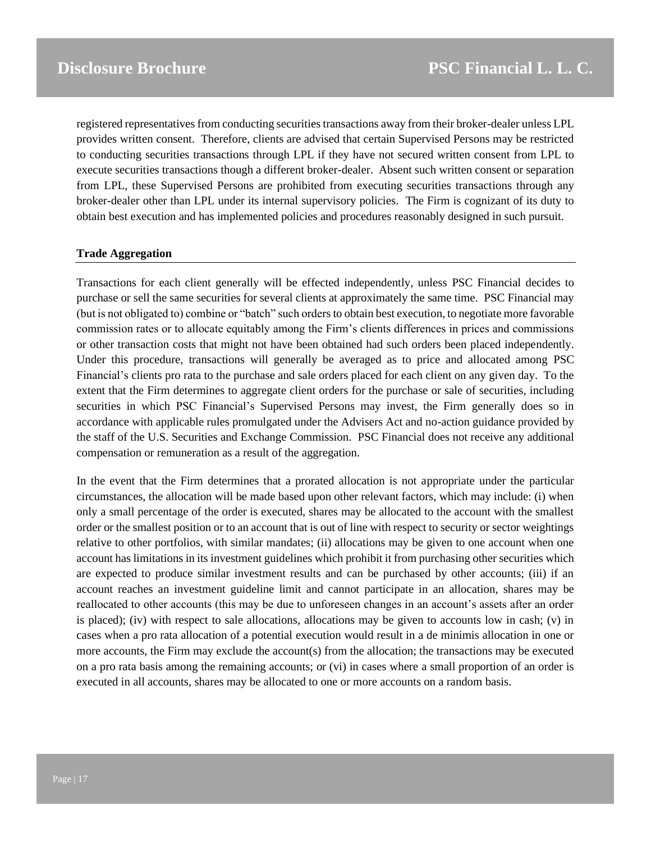registered representatives from conducting securities transactions away from their broker-dealer unless LPL provides written consent. Therefore, clients are advised that certain Supervised Persons may be restricted to conducting securities transactions through LPL if they have not secured written consent from LPL to execute securities transactions though a different broker-dealer. Absent such written consent or separation from LPL, these Supervised Persons are prohibited from executing securities transactions through any broker-dealer other than LPL under its internal supervisory policies. The Firm is cognizant of its duty to obtain best execution and has implemented policies and procedures reasonably designed in such pursuit.

#### **Trade Aggregation**

Transactions for each client generally will be effected independently, unless PSC Financial decides to purchase or sell the same securities for several clients at approximately the same time. PSC Financial may (but is not obligated to) combine or "batch" such orders to obtain best execution, to negotiate more favorable commission rates or to allocate equitably among the Firm's clients differences in prices and commissions or other transaction costs that might not have been obtained had such orders been placed independently. Under this procedure, transactions will generally be averaged as to price and allocated among PSC Financial's clients pro rata to the purchase and sale orders placed for each client on any given day. To the extent that the Firm determines to aggregate client orders for the purchase or sale of securities, including securities in which PSC Financial's Supervised Persons may invest, the Firm generally does so in accordance with applicable rules promulgated under the Advisers Act and no-action guidance provided by the staff of the U.S. Securities and Exchange Commission. PSC Financial does not receive any additional compensation or remuneration as a result of the aggregation.

In the event that the Firm determines that a prorated allocation is not appropriate under the particular circumstances, the allocation will be made based upon other relevant factors, which may include: (i) when only a small percentage of the order is executed, shares may be allocated to the account with the smallest order or the smallest position or to an account that is out of line with respect to security or sector weightings relative to other portfolios, with similar mandates; (ii) allocations may be given to one account when one account has limitations in its investment guidelines which prohibit it from purchasing other securities which are expected to produce similar investment results and can be purchased by other accounts; (iii) if an account reaches an investment guideline limit and cannot participate in an allocation, shares may be reallocated to other accounts (this may be due to unforeseen changes in an account's assets after an order is placed); (iv) with respect to sale allocations, allocations may be given to accounts low in cash; (v) in cases when a pro rata allocation of a potential execution would result in a de minimis allocation in one or more accounts, the Firm may exclude the account(s) from the allocation; the transactions may be executed on a pro rata basis among the remaining accounts; or (vi) in cases where a small proportion of an order is executed in all accounts, shares may be allocated to one or more accounts on a random basis.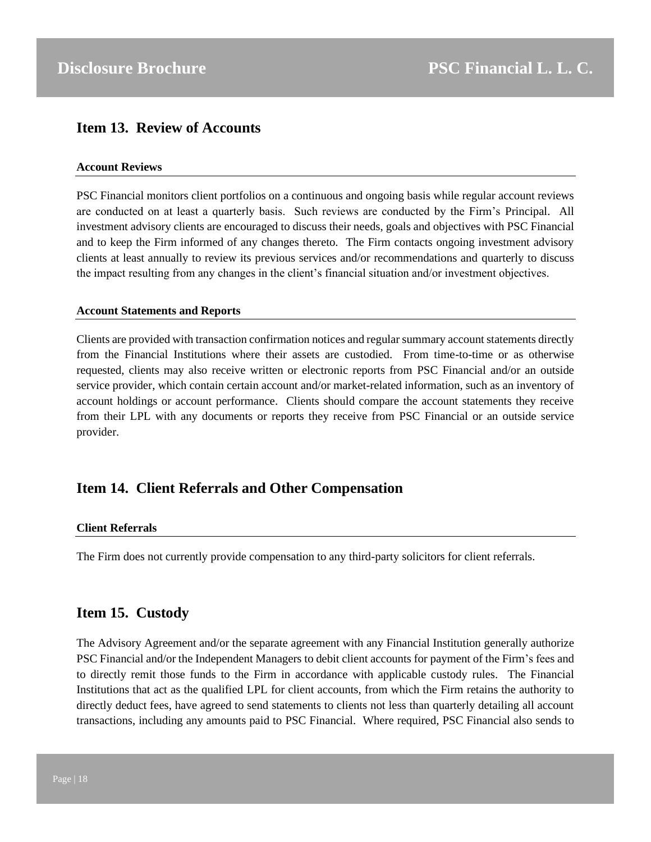# <span id="page-17-0"></span>**Item 13. Review of Accounts**

## **Account Reviews**

PSC Financial monitors client portfolios on a continuous and ongoing basis while regular account reviews are conducted on at least a quarterly basis. Such reviews are conducted by the Firm's Principal. All investment advisory clients are encouraged to discuss their needs, goals and objectives with PSC Financial and to keep the Firm informed of any changes thereto. The Firm contacts ongoing investment advisory clients at least annually to review its previous services and/or recommendations and quarterly to discuss the impact resulting from any changes in the client's financial situation and/or investment objectives.

#### **Account Statements and Reports**

Clients are provided with transaction confirmation notices and regular summary account statements directly from the Financial Institutions where their assets are custodied. From time-to-time or as otherwise requested, clients may also receive written or electronic reports from PSC Financial and/or an outside service provider, which contain certain account and/or market-related information, such as an inventory of account holdings or account performance. Clients should compare the account statements they receive from their LPL with any documents or reports they receive from PSC Financial or an outside service provider.

# <span id="page-17-1"></span>**Item 14. Client Referrals and Other Compensation**

#### **Client Referrals**

The Firm does not currently provide compensation to any third-party solicitors for client referrals.

# <span id="page-17-2"></span>**Item 15. Custody**

The Advisory Agreement and/or the separate agreement with any Financial Institution generally authorize PSC Financial and/or the Independent Managers to debit client accounts for payment of the Firm's fees and to directly remit those funds to the Firm in accordance with applicable custody rules. The Financial Institutions that act as the qualified LPL for client accounts, from which the Firm retains the authority to directly deduct fees, have agreed to send statements to clients not less than quarterly detailing all account transactions, including any amounts paid to PSC Financial. Where required, PSC Financial also sends to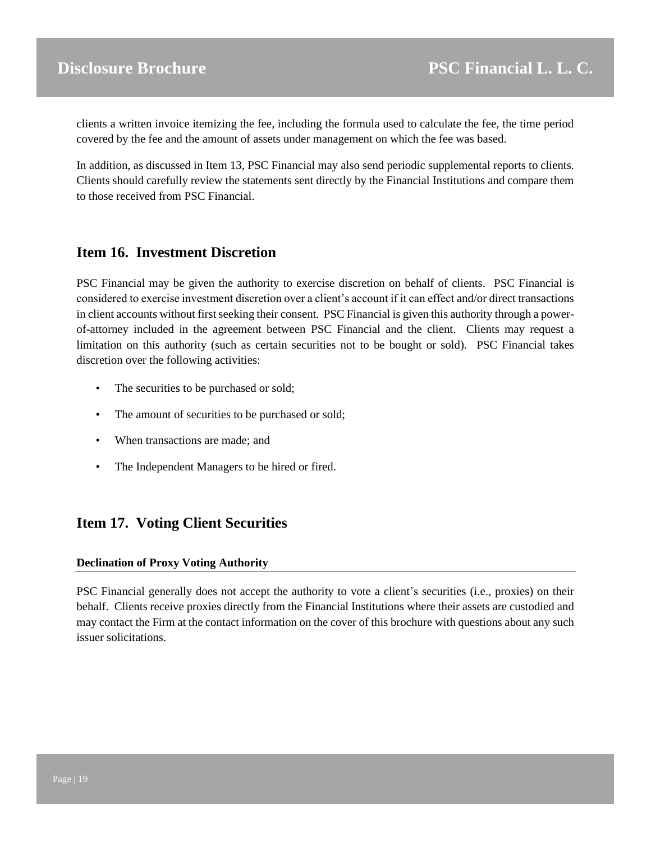clients a written invoice itemizing the fee, including the formula used to calculate the fee, the time period covered by the fee and the amount of assets under management on which the fee was based.

In addition, as discussed in Item 13, PSC Financial may also send periodic supplemental reports to clients. Clients should carefully review the statements sent directly by the Financial Institutions and compare them to those received from PSC Financial.

# <span id="page-18-0"></span>**Item 16. Investment Discretion**

PSC Financial may be given the authority to exercise discretion on behalf of clients. PSC Financial is considered to exercise investment discretion over a client's account if it can effect and/or direct transactions in client accounts without first seeking their consent. PSC Financial is given this authority through a powerof-attorney included in the agreement between PSC Financial and the client. Clients may request a limitation on this authority (such as certain securities not to be bought or sold). PSC Financial takes discretion over the following activities:

- The securities to be purchased or sold;
- The amount of securities to be purchased or sold;
- When transactions are made; and
- The Independent Managers to be hired or fired.

# <span id="page-18-1"></span>**Item 17. Voting Client Securities**

# **Declination of Proxy Voting Authority**

PSC Financial generally does not accept the authority to vote a client's securities (i.e., proxies) on their behalf. Clients receive proxies directly from the Financial Institutions where their assets are custodied and may contact the Firm at the contact information on the cover of this brochure with questions about any such issuer solicitations.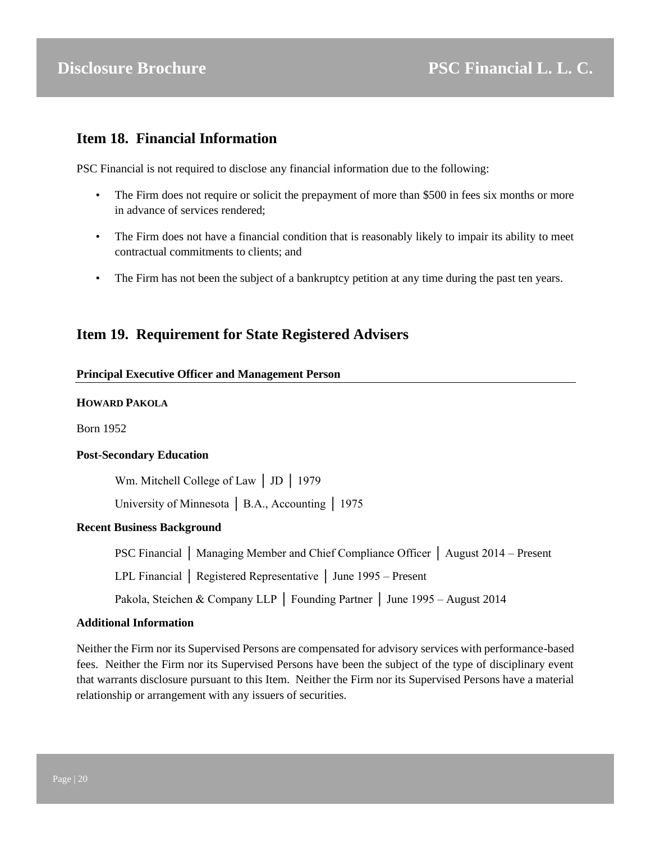# <span id="page-19-0"></span>**Item 18. Financial Information**

PSC Financial is not required to disclose any financial information due to the following:

- The Firm does not require or solicit the prepayment of more than \$500 in fees six months or more in advance of services rendered;
- The Firm does not have a financial condition that is reasonably likely to impair its ability to meet contractual commitments to clients; and
- The Firm has not been the subject of a bankruptcy petition at any time during the past ten years.

# **Item 19. Requirement for State Registered Advisers**

## **Principal Executive Officer and Management Person**

## **HOWARD PAKOLA**

Born 1952

#### **Post-Secondary Education**

Wm. Mitchell College of Law │ JD │ 1979

University of Minnesota │ B.A., Accounting │ 1975

# **Recent Business Background**

PSC Financial │ Managing Member and Chief Compliance Officer │ August 2014 – Present

LPL Financial │ Registered Representative │ June 1995 – Present

Pakola, Steichen & Company LLP │ Founding Partner │ June 1995 – August 2014

#### **Additional Information**

Neither the Firm nor its Supervised Persons are compensated for advisory services with performance-based fees. Neither the Firm nor its Supervised Persons have been the subject of the type of disciplinary event that warrants disclosure pursuant to this Item. Neither the Firm nor its Supervised Persons have a material relationship or arrangement with any issuers of securities.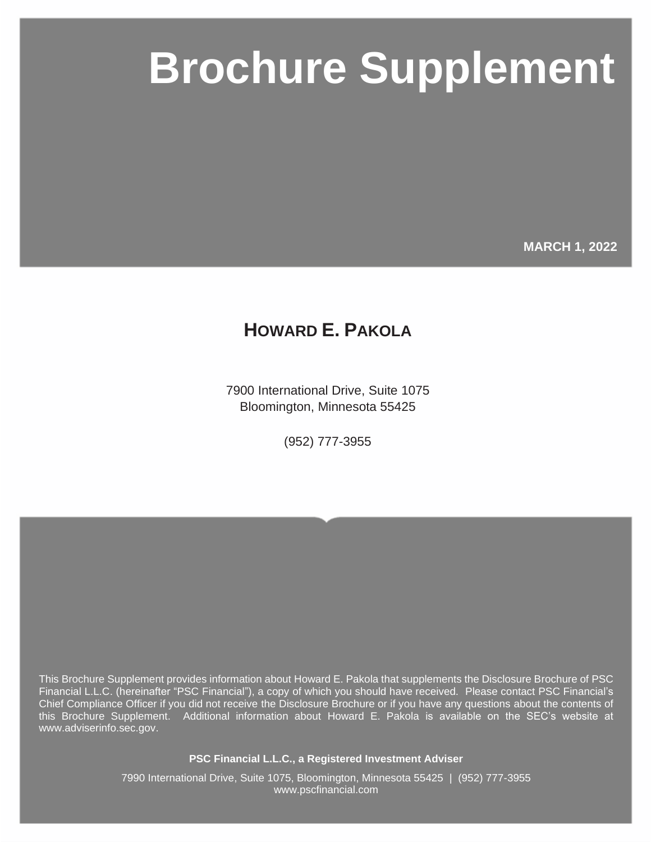# **PSC Brochure Supplement**

**MARCH 1, 2022**

# **HOWARD E. PAKOLA**

7900 International Drive, Suite 1075 Bloomington, Minnesota 55425

(952) 777-3955

This Brochure Supplement provides information about Howard E. Pakola that supplements the Disclosure Brochure of PSC Financial L.L.C. (hereinafter "PSC Financial"), a copy of which you should have received. Please contact PSC Financial's Chief Compliance Officer if you did not receive the Disclosure Brochure or if you have any questions about the contents of this Brochure Supplement. Additional information about Howard E. Pakola is available on the SEC's website at www.adviserinfo.sec.gov.

**PSC Financial L.L.C., a Registered Investment Adviser**

7990 International Drive, Suite 1075, Bloomington, Minnesota 55425 | (952) 777-3955 www.pscfinancial.com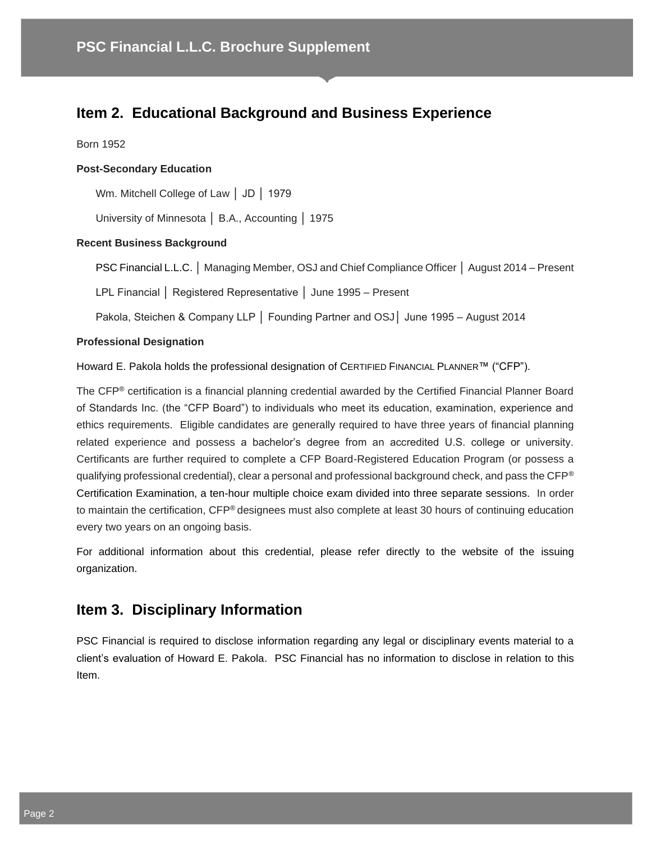# **Item 2. Educational Background and Business Experience**

Born 1952

## **Post-Secondary Education**

Wm. Mitchell College of Law │ JD │ 1979

University of Minnesota │ B.A., Accounting │ 1975

#### **Recent Business Background**

PSC Financial L.L.C. │ Managing Member, OSJ and Chief Compliance Officer │ August 2014 – Present

LPL Financial │ Registered Representative │ June 1995 – Present

Pakola, Steichen & Company LLP │ Founding Partner and OSJ│ June 1995 – August 2014

#### **Professional Designation**

Howard E. Pakola holds the professional designation of CERTIFIED FINANCIAL PLANNER™ ("CFP").

The CFP® certification is a financial planning credential awarded by the Certified Financial Planner Board of Standards Inc. (the "CFP Board") to individuals who meet its education, examination, experience and ethics requirements. Eligible candidates are generally required to have three years of financial planning related experience and possess a bachelor's degree from an accredited U.S. college or university. Certificants are further required to complete a CFP Board-Registered Education Program (or possess a qualifying professional credential), clear a personal and professional background check, and pass the CFP® Certification Examination, a ten-hour multiple choice exam divided into three separate sessions. In order to maintain the certification, CFP® designees must also complete at least 30 hours of continuing education every two years on an ongoing basis.

For additional information about this credential, please refer directly to the website of the issuing organization.

# **Item 3. Disciplinary Information**

PSC Financial is required to disclose information regarding any legal or disciplinary events material to a client's evaluation of Howard E. Pakola. PSC Financial has no information to disclose in relation to this Item.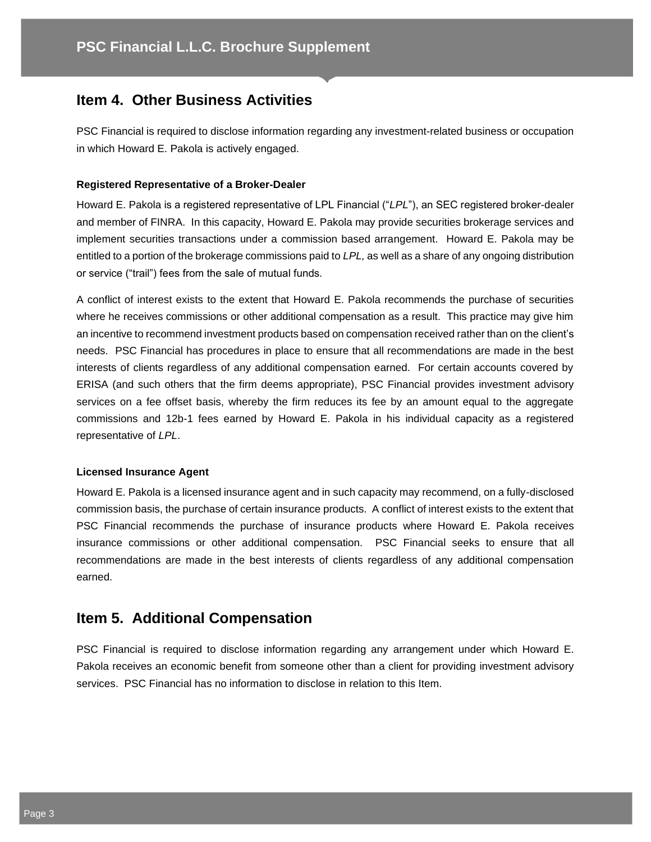# **Item 4. Other Business Activities**

PSC Financial is required to disclose information regarding any investment-related business or occupation in which Howard E. Pakola is actively engaged.

#### **Registered Representative of a Broker-Dealer**

Howard E. Pakola is a registered representative of LPL Financial ("*LPL*"), an SEC registered broker-dealer and member of FINRA. In this capacity, Howard E. Pakola may provide securities brokerage services and implement securities transactions under a commission based arrangement. Howard E. Pakola may be entitled to a portion of the brokerage commissions paid to *LPL,* as well as a share of any ongoing distribution or service ("trail") fees from the sale of mutual funds*.* 

A conflict of interest exists to the extent that Howard E. Pakola recommends the purchase of securities where he receives commissions or other additional compensation as a result. This practice may give him an incentive to recommend investment products based on compensation received rather than on the client's needs. PSC Financial has procedures in place to ensure that all recommendations are made in the best interests of clients regardless of any additional compensation earned. For certain accounts covered by ERISA (and such others that the firm deems appropriate), PSC Financial provides investment advisory services on a fee offset basis, whereby the firm reduces its fee by an amount equal to the aggregate commissions and 12b-1 fees earned by Howard E. Pakola in his individual capacity as a registered representative of *LPL*.

#### **Licensed Insurance Agent**

Howard E. Pakola is a licensed insurance agent and in such capacity may recommend, on a fully-disclosed commission basis, the purchase of certain insurance products. A conflict of interest exists to the extent that PSC Financial recommends the purchase of insurance products where Howard E. Pakola receives insurance commissions or other additional compensation. PSC Financial seeks to ensure that all recommendations are made in the best interests of clients regardless of any additional compensation earned.

# **Item 5. Additional Compensation**

PSC Financial is required to disclose information regarding any arrangement under which Howard E. Pakola receives an economic benefit from someone other than a client for providing investment advisory services. PSC Financial has no information to disclose in relation to this Item.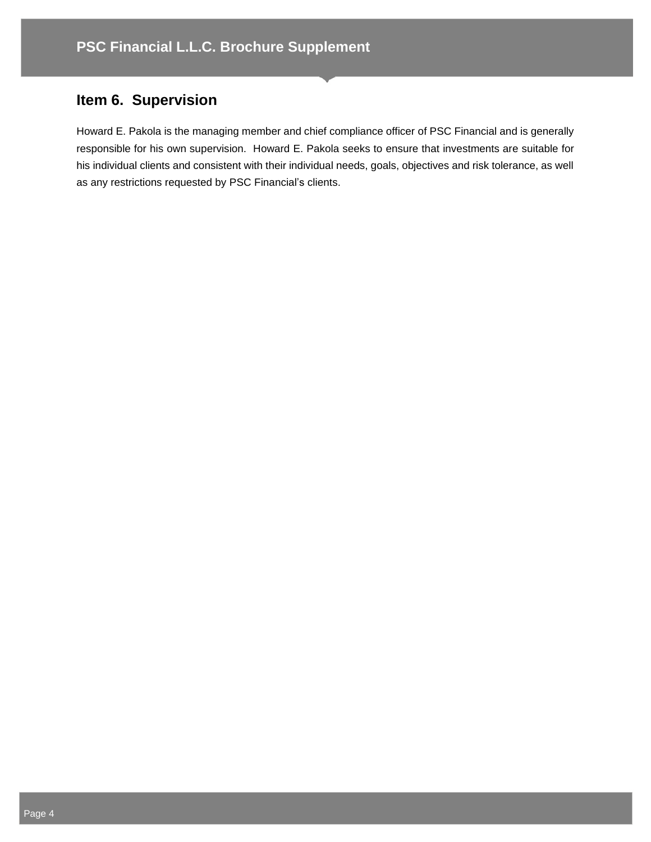# **Item 6. Supervision**

Howard E. Pakola is the managing member and chief compliance officer of PSC Financial and is generally responsible for his own supervision. Howard E. Pakola seeks to ensure that investments are suitable for his individual clients and consistent with their individual needs, goals, objectives and risk tolerance, as well as any restrictions requested by PSC Financial's clients.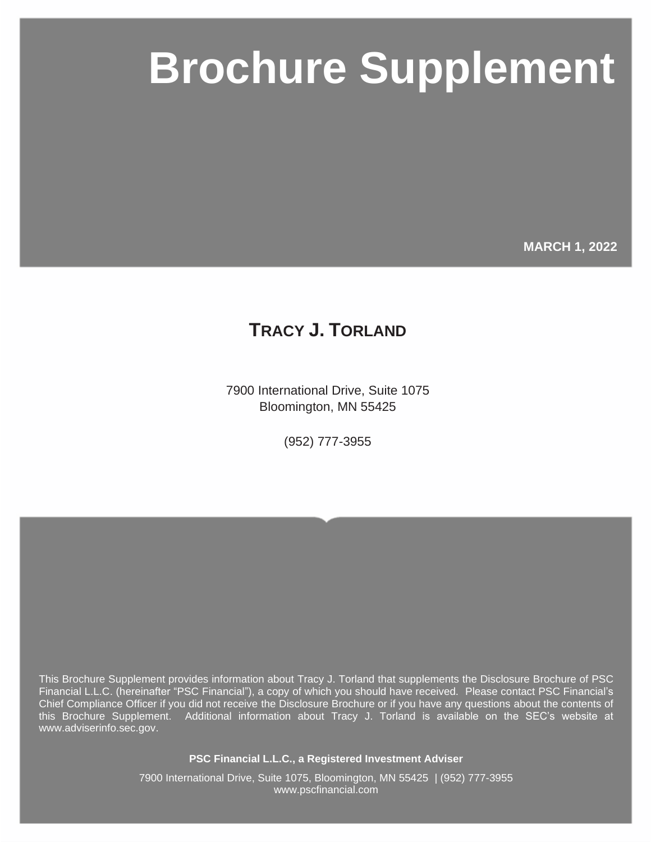# **PSC Brochure Supplement**

**MARCH 1, 2022**

# **TRACY J. TORLAND**

7900 International Drive, Suite 1075 Bloomington, MN 55425

(952) 777-3955

This Brochure Supplement provides information about Tracy J. Torland that supplements the Disclosure Brochure of PSC Financial L.L.C. (hereinafter "PSC Financial"), a copy of which you should have received. Please contact PSC Financial's Chief Compliance Officer if you did not receive the Disclosure Brochure or if you have any questions about the contents of this Brochure Supplement. Additional information about Tracy J. Torland is available on the SEC's website at www.adviserinfo.sec.gov.

**PSC Financial L.L.C., a Registered Investment Adviser**

7900 International Drive, Suite 1075, Bloomington, MN 55425 | (952) 777-3955 www.pscfinancial.com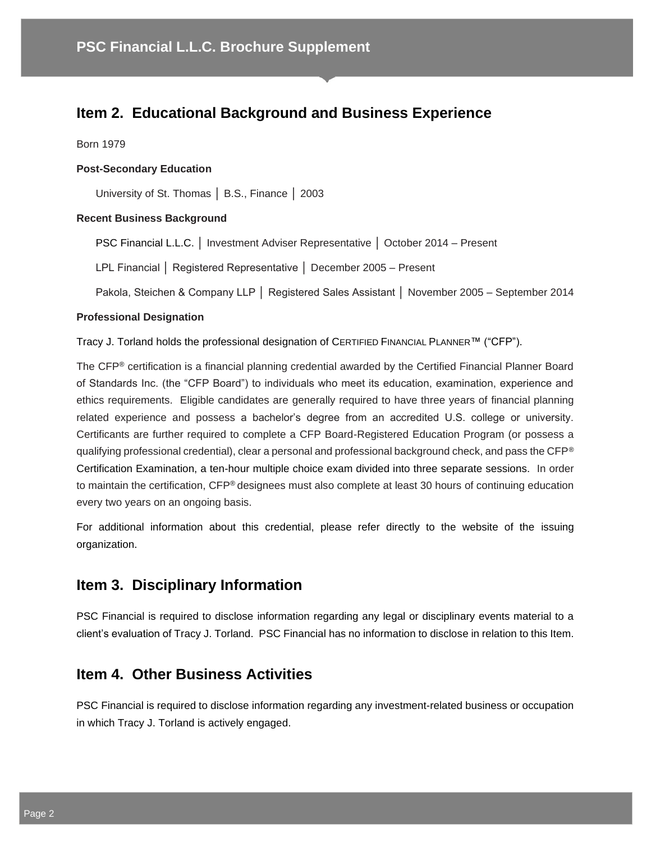# **Item 2. Educational Background and Business Experience**

Born 1979

#### **Post-Secondary Education**

University of St. Thomas │ B.S., Finance │ 2003

## **Recent Business Background**

PSC Financial L.L.C. │ Investment Adviser Representative │ October 2014 – Present

LPL Financial │ Registered Representative │ December 2005 – Present

Pakola, Steichen & Company LLP │ Registered Sales Assistant │ November 2005 – September 2014

#### **Professional Designation**

Tracy J. Torland holds the professional designation of CERTIFIED FINANCIAL PLANNER™ ("CFP").

The CFP® certification is a financial planning credential awarded by the Certified Financial Planner Board of Standards Inc. (the "CFP Board") to individuals who meet its education, examination, experience and ethics requirements. Eligible candidates are generally required to have three years of financial planning related experience and possess a bachelor's degree from an accredited U.S. college or university. Certificants are further required to complete a CFP Board-Registered Education Program (or possess a qualifying professional credential), clear a personal and professional background check, and pass the CFP® Certification Examination, a ten-hour multiple choice exam divided into three separate sessions. In order to maintain the certification, CFP® designees must also complete at least 30 hours of continuing education every two years on an ongoing basis.

For additional information about this credential, please refer directly to the website of the issuing organization.

# **Item 3. Disciplinary Information**

PSC Financial is required to disclose information regarding any legal or disciplinary events material to a client's evaluation of Tracy J. Torland. PSC Financial has no information to disclose in relation to this Item.

# **Item 4. Other Business Activities**

PSC Financial is required to disclose information regarding any investment-related business or occupation in which Tracy J. Torland is actively engaged.